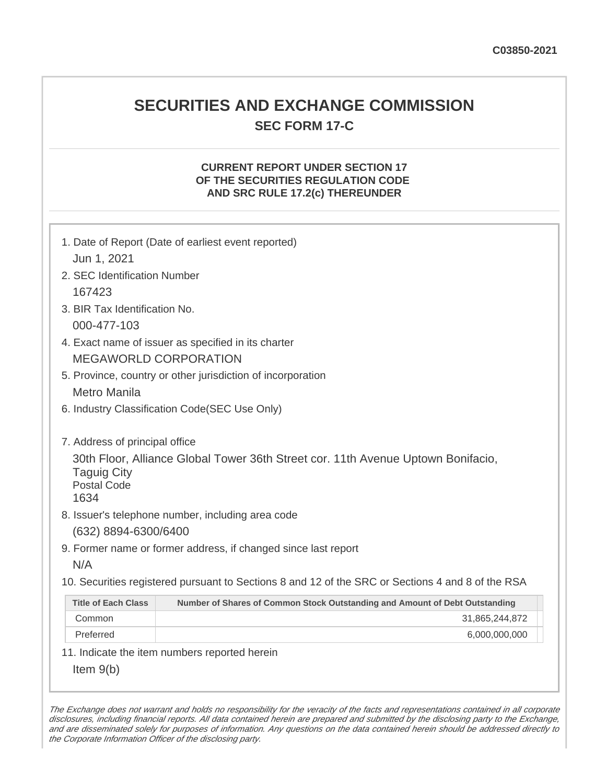# **SECURITIES AND EXCHANGE COMMISSION SEC FORM 17-C**

## **CURRENT REPORT UNDER SECTION 17 OF THE SECURITIES REGULATION CODE AND SRC RULE 17.2(c) THEREUNDER**

| 1. Date of Report (Date of earliest event reported)<br>Jun 1, 2021                                                                                                                                                          |                                                                             |  |
|-----------------------------------------------------------------------------------------------------------------------------------------------------------------------------------------------------------------------------|-----------------------------------------------------------------------------|--|
| 2. SEC Identification Number                                                                                                                                                                                                |                                                                             |  |
| 167423                                                                                                                                                                                                                      |                                                                             |  |
| 3. BIR Tax Identification No.                                                                                                                                                                                               |                                                                             |  |
| 000-477-103                                                                                                                                                                                                                 |                                                                             |  |
| 4. Exact name of issuer as specified in its charter                                                                                                                                                                         |                                                                             |  |
| <b>MEGAWORLD CORPORATION</b>                                                                                                                                                                                                |                                                                             |  |
| 5. Province, country or other jurisdiction of incorporation                                                                                                                                                                 |                                                                             |  |
| <b>Metro Manila</b>                                                                                                                                                                                                         |                                                                             |  |
| 6. Industry Classification Code(SEC Use Only)                                                                                                                                                                               |                                                                             |  |
| 7. Address of principal office<br>30th Floor, Alliance Global Tower 36th Street cor. 11th Avenue Uptown Bonifacio,<br><b>Taguig City</b><br><b>Postal Code</b><br>1634<br>8. Issuer's telephone number, including area code |                                                                             |  |
| (632) 8894-6300/6400                                                                                                                                                                                                        |                                                                             |  |
| 9. Former name or former address, if changed since last report                                                                                                                                                              |                                                                             |  |
| N/A                                                                                                                                                                                                                         |                                                                             |  |
| 10. Securities registered pursuant to Sections 8 and 12 of the SRC or Sections 4 and 8 of the RSA                                                                                                                           |                                                                             |  |
| <b>Title of Each Class</b>                                                                                                                                                                                                  | Number of Shares of Common Stock Outstanding and Amount of Debt Outstanding |  |
| Common                                                                                                                                                                                                                      | 31,865,244,872                                                              |  |
| Preferred                                                                                                                                                                                                                   | 6,000,000,000                                                               |  |
| 11. Indicate the item numbers reported herein                                                                                                                                                                               |                                                                             |  |
| Item $9(b)$                                                                                                                                                                                                                 |                                                                             |  |

The Exchange does not warrant and holds no responsibility for the veracity of the facts and representations contained in all corporate disclosures, including financial reports. All data contained herein are prepared and submitted by the disclosing party to the Exchange, and are disseminated solely for purposes of information. Any questions on the data contained herein should be addressed directly to the Corporate Information Officer of the disclosing party.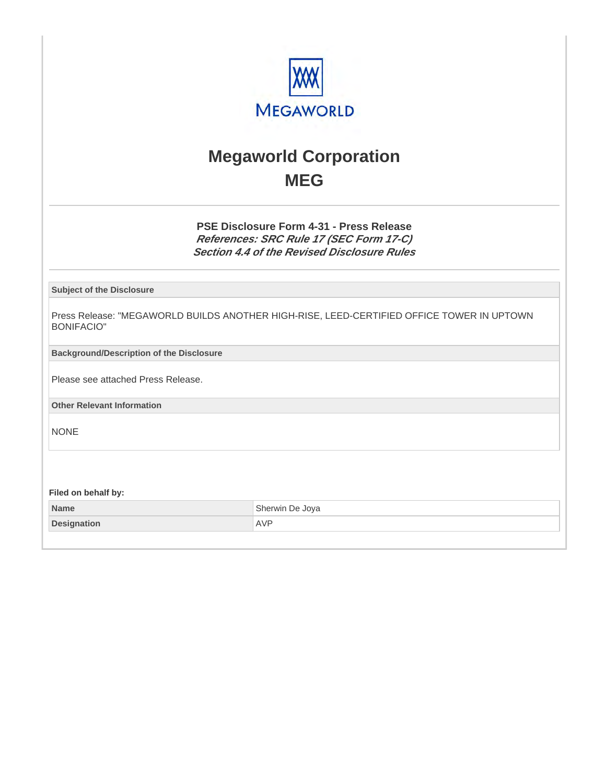

# **Megaworld Corporation MEG**

**PSE Disclosure Form 4-31 - Press Release References: SRC Rule 17 (SEC Form 17-C) Section 4.4 of the Revised Disclosure Rules**

**Subject of the Disclosure**

Press Release: "MEGAWORLD BUILDS ANOTHER HIGH-RISE, LEED-CERTIFIED OFFICE TOWER IN UPTOWN BONIFACIO"

**Background/Description of the Disclosure**

Please see attached Press Release.

**Other Relevant Information**

NONE

**Filed on behalf by:**

| <b>Name</b>        | Sherwin De Joya |
|--------------------|-----------------|
| <b>Designation</b> | <b>AVP</b>      |
|                    |                 |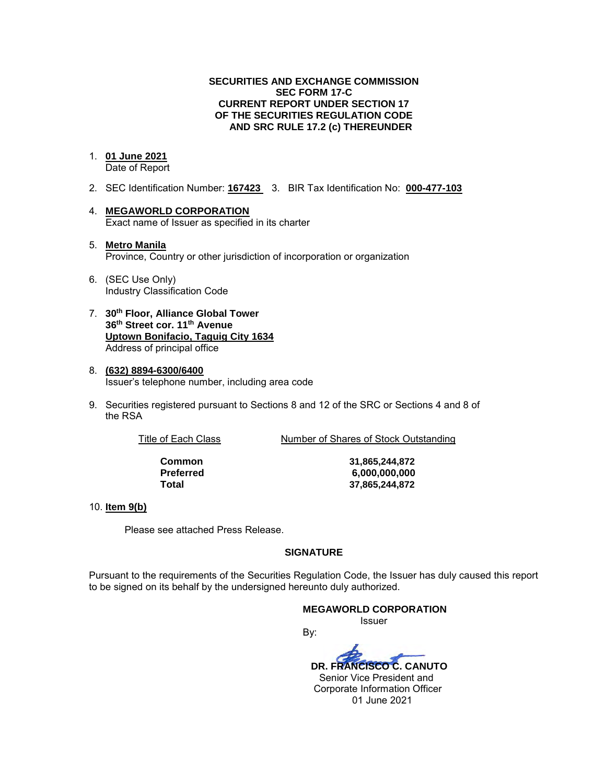#### **SECURITIES AND EXCHANGE COMMISSION SEC FORM 17-C CURRENT REPORT UNDER SECTION 17 OF THE SECURITIES REGULATION CODE AND SRC RULE 17.2 (c) THEREUNDER**

#### 1. **01 June 2021**

Date of Report

- 2. SEC Identification Number: **167423** 3. BIR Tax Identification No: **000-477-103**
- 4. **MEGAWORLD CORPORATION**  Exact name of Issuer as specified in its charter
- 5. **Metro Manila** Province, Country or other jurisdiction of incorporation or organization
- 6. (SEC Use Only) Industry Classification Code
- 7. **30th Floor, Alliance Global Tower 36th Street cor. 11th Avenue Uptown Bonifacio, Taguig City 1634** Address of principal office
- 8. **(632) 8894-6300/6400**  Issuer's telephone number, including area code
- 9. Securities registered pursuant to Sections 8 and 12 of the SRC or Sections 4 and 8 of the RSA

Title of Each Class Number of Shares of Stock Outstanding

**Common 31,865,244,872 Preferred 6,000,000,000 Total 37,865,244,872**

#### 10. **Item 9(b)**

Please see attached Press Release.

#### **SIGNATURE**

Pursuant to the requirements of the Securities Regulation Code, the Issuer has duly caused this report to be signed on its behalf by the undersigned hereunto duly authorized.

#### **MEGAWORLD CORPORATION**

*<u>Issuer</u> Issuer Issuer* 

By:  **DR. FRANCISCO C. CANUTO**  Senior Vice President and Corporate Information Officer 01 June 2021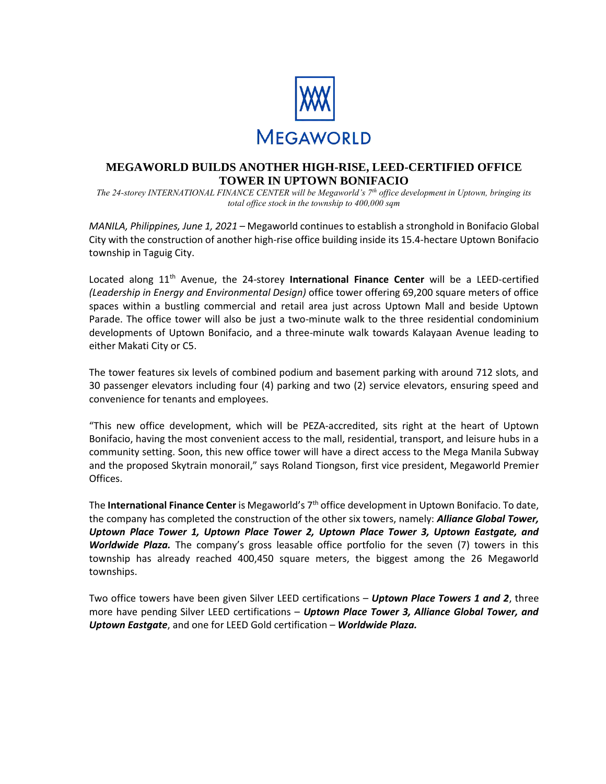

### **MEGAWORLD BUILDS ANOTHER HIGH-RISE, LEED-CERTIFIED OFFICE TOWER IN UPTOWN BONIFACIO**

*The 24-storey INTERNATIONAL FINANCE CENTER will be Megaworld's 7th office development in Uptown, bringing its total office stock in the township to 400,000 sqm* 

*MANILA, Philippines, June 1, 2021 –* Megaworld continues to establish a stronghold in Bonifacio Global City with the construction of another high-rise office building inside its 15.4-hectare Uptown Bonifacio township in Taguig City.

Located along 11<sup>th</sup> Avenue, the 24-storey International Finance Center will be a LEED-certified *(Leadership in Energy and Environmental Design)* office tower offering 69,200 square meters of office spaces within a bustling commercial and retail area just across Uptown Mall and beside Uptown Parade. The office tower will also be just a two-minute walk to the three residential condominium developments of Uptown Bonifacio, and a three-minute walk towards Kalayaan Avenue leading to either Makati City or C5.

The tower features six levels of combined podium and basement parking with around 712 slots, and 30 passenger elevators including four (4) parking and two (2) service elevators, ensuring speed and convenience for tenants and employees.

"This new office development, which will be PEZA-accredited, sits right at the heart of Uptown Bonifacio, having the most convenient access to the mall, residential, transport, and leisure hubs in a community setting. Soon, this new office tower will have a direct access to the Mega Manila Subway and the proposed Skytrain monorail," says Roland Tiongson, first vice president, Megaworld Premier Offices.

The **International Finance Center** is Megaworld's 7th office development in Uptown Bonifacio. To date, the company has completed the construction of the other six towers, namely: *Alliance Global Tower, Uptown Place Tower 1, Uptown Place Tower 2, Uptown Place Tower 3, Uptown Eastgate, and Worldwide Plaza.* The company's gross leasable office portfolio for the seven (7) towers in this township has already reached 400,450 square meters, the biggest among the 26 Megaworld townships.

Two office towers have been given Silver LEED certifications – *Uptown Place Towers 1 and 2*, three more have pending Silver LEED certifications – *Uptown Place Tower 3, Alliance Global Tower, and Uptown Eastgate*, and one for LEED Gold certification – *Worldwide Plaza.*